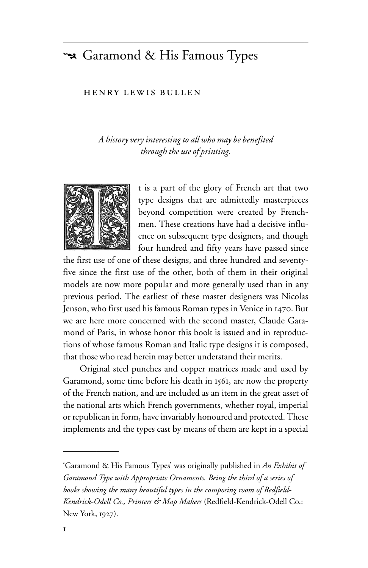## Saramond & His Famous Types

## HENRY LEWIS BULLEN

*A histor y very interesting to all who may be benefited through the use of printing.*



t is a part of the glory of French art that two type designs that are admittedly masterpieces beyond competition were created by Frenchmen. These creations have had a decisive influence on subsequent type designers, and though four hundred and fifty years have passed since

the first use of one of these designs, and three hundred and seventyfive since the first use of the other, both of them in their original models are now more popular and more generally used than in any previous period. The earliest of these master designers was Nicolas Jenson, who first used his famous Roman types in Venice in 1470. But we are here more concerned with the second master, Claude Garamond of Paris, in whose honor this book is issued and in reproductions of whose famous Roman and Italic type designs it is composed, that those who read herein may better understand their merits.

Original steel punches and copper matrices made and used by Garamond, some time before his death in 1561, are now the property of the French nation, and are included as an item in the great asset of the national arts which French governments, whether royal, imperial or republican in form, have invariably honoured and protected. These implements and the types cast by means of them are kept in a special

<sup>&#</sup>x27;Garamond & His Famous Types' was originally published in *An Exhibit of Garamond Type with Appropriate Ornaments. Being the third of a series of books showing the many beautiful types in the composing room of Redfield-Kendrick-Odell Co., Printers & Map Makers* (Redfield-Kendrick-Odell Co.: New York, 1927).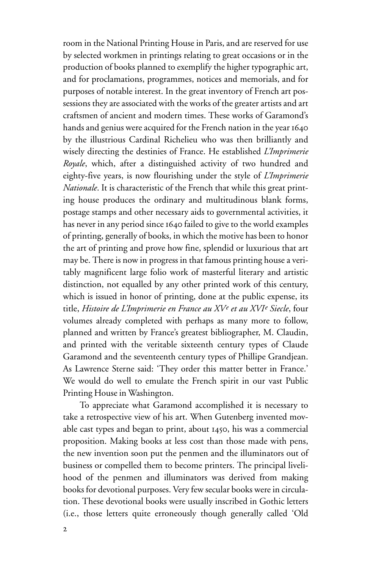room in the National Printing House in Paris, and are reserved for use by selected workmen in printings relating to great occasions or in the production of books planned to exemplify the higher typographic art, and for proclamations, programmes, notices and memorials, and for purposes of notable interest. In the great inventory of French art possessions they are associated with the works of the greater artists and art craftsmen of ancient and modern times. These works of Garamond's hands and genius were acquired for the French nation in the year 1640 by the illustrious Cardinal Richelieu who was then brilliantly and wisely directing the destinies of France. He established *L'Imprimerie Royale*, which, after a distinguished activity of two hundred and eighty-five years, is now flourishing under the style of *L'Imprimerie Nationale*. It is characteristic of the French that while this great printing house produces the ordinary and multitudinous blank forms, postage stamps and other necessary aids to governmental activities, it has never in any period since 1640 failed to give to the world examples of printing, generally of books, in which the motive has been to honor the art of printing and prove how fine, splendid or luxurious that art may be. There is now in progress in that famous printing house a veritably magnificent large folio work of masterful literary and artistic distinction, not equalled by any other printed work of this century, which is issued in honor of printing, done at the public expense, its title, *Histoire de L'Imprimerie en France au XVe et au XVIe Siecle*, four volumes already completed with perhaps as many more to follow, planned and written by France's greatest bibliographer, M. Claudin, and printed with the veritable sixteenth century types of Claude Garamond and the seventeenth century types of Phillipe Grandjean. As Lawrence Sterne said: 'They order this matter better in France.' We would do well to emulate the French spirit in our vast Public Printing House in Washington.

To appreciate what Garamond accomplished it is necessary to take a retrospective view of his art. When Gutenberg invented movable cast types and began to print, about 1450, his was a commercial proposition. Making books at less cost than those made with pens, the new invention soon put the penmen and the illuminators out of business or compelled them to become printers. The principal livelihood of the penmen and illuminators was derived from making books for devotional purposes. Very few secular books were in circulation. These devotional books were usually inscribed in Gothic letters (i.e., those letters quite erroneously though generally called 'Old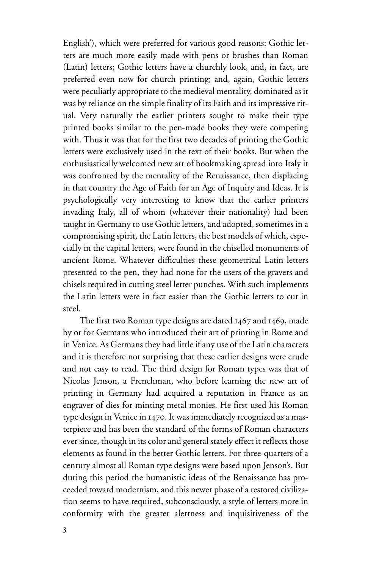English'), which were preferred for various good reasons: Gothic letters are much more easily made with pens or brushes than Roman (Latin) letters; Gothic letters have a churchly look, and, in fact, are preferred even now for church printing; and, again, Gothic letters were peculiarly appropriate to the medieval mentality, dominated as it was by reliance on the simple finality of its Faith and its impressive ritual. Very naturally the earlier printers sought to make their type printed books similar to the pen-made books they were competing with. Thus it was that for the first two decades of printing the Gothic letters were exclusively used in the text of their books. But when the enthusiastically welcomed new art of bookmaking spread into Italy it was confronted by the mentality of the Renaissance, then displacing in that country the Age of Faith for an Age of Inquiry and Ideas. It is psychologically very interesting to know that the earlier printers invading Italy, all of whom (whatever their nationality) had been taught in Germany to use Gothic letters, and adopted, sometimes in a compromising spirit, the Latin letters, the best models of which, especially in the capital letters, were found in the chiselled monuments of ancient Rome. Whatever difficulties these geometrical Latin letters presented to the pen, they had none for the users of the gravers and chisels required in cutting steel letter punches. With such implements the Latin letters were in fact easier than the Gothic letters to cut in steel.

The first two Roman type designs are dated 1467 and 1469, made by or for Germans who introduced their art of printing in Rome and in Venice. As Germans they had little if any use of the Latin characters and it is therefore not surprising that these earlier designs were crude and not easy to read. The third design for Roman types was that of Nicolas Jenson, a Frenchman, who before learning the new art of printing in Germany had acquired a reputation in France as an engraver of dies for minting metal monies. He first used his Roman type design in Venice in 1470. It was immediately recognized as a masterpiece and has been the standard of the forms of Roman characters ever since, though in its color and general stately effect it reflects those elements as found in the better Gothic letters. For three-quarters of a century almost all Roman type designs were based upon Jenson's. But during this period the humanistic ideas of the Renaissance has proceeded toward modernism, and this newer phase of a restored civilization seems to have required, subconsciously, a style of letters more in conformity with the greater alertness and inquisitiveness of the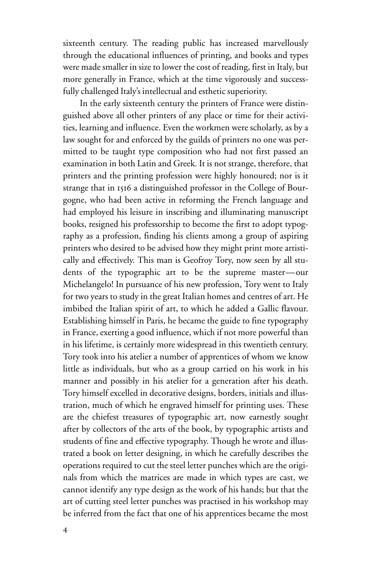sixteenth century. The reading public has increased marvellously through the educational influences of printing, and books and types were made smaller in size to lower the cost of reading, first in Italy, but more generally in France, which at the time vigorously and successfully challenged Italy's intellectual and esthetic superiority.

In the early sixteenth century the printers of France were distinguished above all other printers of any place or time for their activities, learning and influence. Even the workmen were scholarly, as by a law sought for and enforced by the guilds of printers no one was permitted to be taught type composition who had not first passed an examination in both Latin and Greek. It is not strange, therefore, that printers and the printing profession were highly honoured; nor is it strange that in 1516 a distinguished professor in the College of Bourgogne, who had been active in reforming the French language and had employed his leisure in inscribing and illuminating manuscript books, resigned his professorship to become the first to adopt typography as a profession, finding his clients among a group of aspiring printers who desired to be advised how they might print more artistically and effectively. This man is Geofroy Tory, now seen by all students of the typographic art to be the supreme master—our Michelangelo! In pursuance of his new profession, Tory went to Italy for two years to study in the great Italian homes and centres of art. He imbibed the Italian spirit of art, to which he added a Gallic flavour. Establishing himself in Paris, he became the guide to fine typography in France, exerting a good influence, which if not more powerful than in his lifetime, is certainly more widespread in this twentieth century. Tory took into his atelier a number of apprentices of whom we know little as individuals, but who as a group carried on his work in his manner and possibly in his atelier for a generation after his death. Tory himself excelled in decorative designs, borders, initials and illustration, much of which he engraved himself for printing uses. These are the chiefest treasures of typographic art, now earnestly sought after by collectors of the arts of the book, by typographic artists and students of fine and effective typography. Though he wrote and illustrated a book on letter designing, in which he carefully describes the operations required to cut the steel letter punches which are the originals from which the matrices are made in which types are cast, we cannot identify any type design as the work of his hands; but that the art of cutting steel letter punches was practised in his workshop may be inferred from the fact that one of his apprentices became the most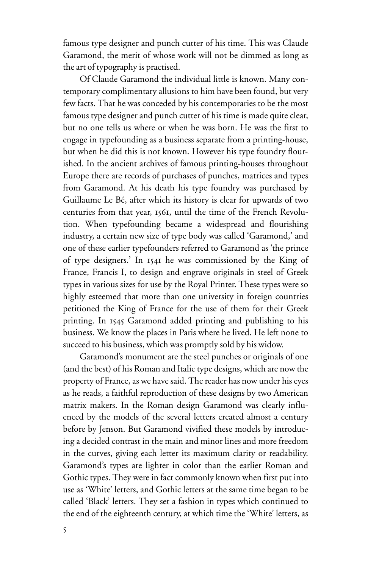famous type designer and punch cutter of his time. This was Claude Garamond, the merit of whose work will not be dimmed as long as the art of typography is practised.

Of Claude Garamond the individual little is known. Many contemporary complimentary allusions to him have been found, but very few facts. That he was conceded by his contemporaries to be the most famous type designer and punch cutter of his time is made quite clear, but no one tells us where or when he was born. He was the first to engage in typefounding as a business separate from a printing-house, but when he did this is not known. However his type foundry flourished. In the ancient archives of famous printing-houses throughout Europe there are records of purchases of punches, matrices and types from Garamond. At his death his type foundry was purchased by Guillaume Le Bé, after which its history is clear for upwards of two centuries from that year, 1561, until the time of the French Revolution. When typefounding became a widespread and flourishing industry, a certain new size of type body was called 'Garamond,' and one of these earlier typefounders referred to Garamond as 'the prince of type designers.' In 1541 he was commissioned by the King of France, Francis I, to design and engrave originals in steel of Greek types in various sizes for use by the Royal Printer. These types were so highly esteemed that more than one university in foreign countries petitioned the King of France for the use of them for their Greek printing. In 1545 Garamond added printing and publishing to his business. We know the places in Paris where he lived. He left none to succeed to his business, which was promptly sold by his widow.

Garamond's monument are the steel punches or originals of one (and the best) of his Roman and Italic type designs, which are now the property of France, as we have said. The reader has now under his eyes as he reads, a faithful reproduction of these designs by two American matrix makers. In the Roman design Garamond was clearly influenced by the models of the several letters created almost a century before by Jenson. But Garamond vivified these models by introducing a decided contrast in the main and minor lines and more freedom in the curves, giving each letter its maximum clarity or readability. Garamond's types are lighter in color than the earlier Roman and Gothic types. They were in fact commonly known when first put into use as 'White' letters, and Gothic letters at the same time began to be called 'Black' letters. They set a fashion in types which continued to the end of the eighteenth century, at which time the 'White' letters, as